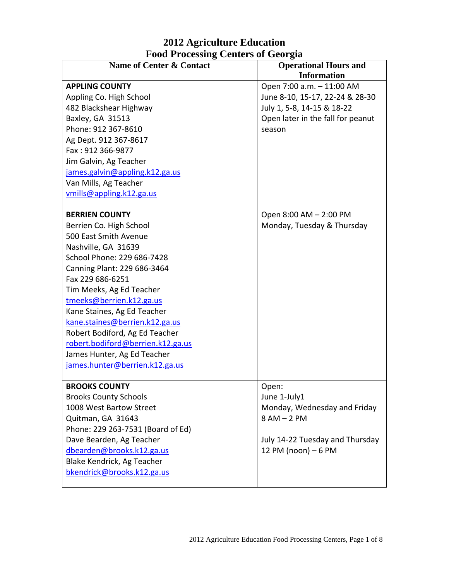## **2012 Agriculture Education Food Processing Centers of Georgia**

| Toon Trocessing Centers of Ocorgia<br><b>Name of Center &amp; Contact</b> | <b>Operational Hours and</b>      |
|---------------------------------------------------------------------------|-----------------------------------|
|                                                                           | <b>Information</b>                |
| <b>APPLING COUNTY</b>                                                     | Open 7:00 a.m. - 11:00 AM         |
| Appling Co. High School                                                   | June 8-10, 15-17, 22-24 & 28-30   |
| 482 Blackshear Highway                                                    | July 1, 5-8, 14-15 & 18-22        |
| Baxley, GA 31513                                                          | Open later in the fall for peanut |
| Phone: 912 367-8610                                                       | season                            |
| Ag Dept. 912 367-8617                                                     |                                   |
| Fax: 912 366-9877                                                         |                                   |
| Jim Galvin, Ag Teacher                                                    |                                   |
| james.galvin@appling.k12.ga.us                                            |                                   |
| Van Mills, Ag Teacher                                                     |                                   |
| vmills@appling.k12.ga.us                                                  |                                   |
| <b>BERRIEN COUNTY</b>                                                     | Open 8:00 AM - 2:00 PM            |
| Berrien Co. High School                                                   | Monday, Tuesday & Thursday        |
| 500 East Smith Avenue                                                     |                                   |
| Nashville, GA 31639                                                       |                                   |
| School Phone: 229 686-7428                                                |                                   |
| Canning Plant: 229 686-3464                                               |                                   |
| Fax 229 686-6251                                                          |                                   |
| Tim Meeks, Ag Ed Teacher                                                  |                                   |
| tmeeks@berrien.k12.ga.us                                                  |                                   |
| Kane Staines, Ag Ed Teacher                                               |                                   |
| kane.staines@berrien.k12.ga.us                                            |                                   |
| Robert Bodiford, Ag Ed Teacher                                            |                                   |
| robert.bodiford@berrien.k12.ga.us                                         |                                   |
| James Hunter, Ag Ed Teacher                                               |                                   |
| james.hunter@berrien.k12.ga.us                                            |                                   |
| <b>BROOKS COUNTY</b>                                                      |                                   |
| <b>Brooks County Schools</b>                                              | Open:<br>June 1-July1             |
| 1008 West Bartow Street                                                   | Monday, Wednesday and Friday      |
| Quitman, GA 31643                                                         | $8AM - 2PM$                       |
| Phone: 229 263-7531 (Board of Ed)                                         |                                   |
| Dave Bearden, Ag Teacher                                                  | July 14-22 Tuesday and Thursday   |
| dbearden@brooks.k12.ga.us                                                 | 12 PM (noon) - 6 PM               |
| Blake Kendrick, Ag Teacher                                                |                                   |
| bkendrick@brooks.k12.ga.us                                                |                                   |
|                                                                           |                                   |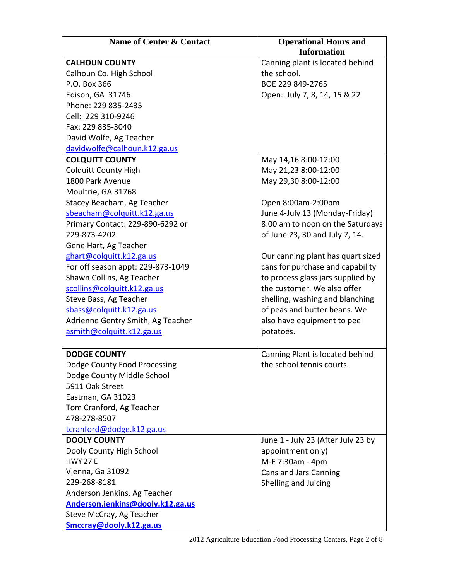| <b>Name of Center &amp; Contact</b> | <b>Operational Hours and</b>       |
|-------------------------------------|------------------------------------|
|                                     | <b>Information</b>                 |
| <b>CALHOUN COUNTY</b>               | Canning plant is located behind    |
| Calhoun Co. High School             | the school.                        |
| P.O. Box 366                        | BOE 229 849-2765                   |
| Edison, GA 31746                    | Open: July 7, 8, 14, 15 & 22       |
| Phone: 229 835-2435                 |                                    |
| Cell: 229 310-9246                  |                                    |
| Fax: 229 835-3040                   |                                    |
| David Wolfe, Ag Teacher             |                                    |
| davidwolfe@calhoun.k12.ga.us        |                                    |
| <b>COLQUITT COUNTY</b>              | May 14,16 8:00-12:00               |
| <b>Colquitt County High</b>         | May 21,23 8:00-12:00               |
| 1800 Park Avenue                    | May 29,30 8:00-12:00               |
| Moultrie, GA 31768                  |                                    |
| Stacey Beacham, Ag Teacher          | Open 8:00am-2:00pm                 |
| sbeacham@colquitt.k12.ga.us         | June 4-July 13 (Monday-Friday)     |
| Primary Contact: 229-890-6292 or    | 8:00 am to noon on the Saturdays   |
| 229-873-4202                        | of June 23, 30 and July 7, 14.     |
| Gene Hart, Ag Teacher               |                                    |
| ghart@colquitt.k12.ga.us            | Our canning plant has quart sized  |
| For off season appt: 229-873-1049   | cans for purchase and capability   |
| Shawn Collins, Ag Teacher           | to process glass jars supplied by  |
| scollins@colquitt.k12.ga.us         | the customer. We also offer        |
| Steve Bass, Ag Teacher              | shelling, washing and blanching    |
| sbass@colquitt.k12.ga.us            | of peas and butter beans. We       |
| Adrienne Gentry Smith, Ag Teacher   | also have equipment to peel        |
| asmith@colquitt.k12.ga.us           | potatoes.                          |
|                                     |                                    |
| <b>DODGE COUNTY</b>                 | Canning Plant is located behind    |
| Dodge County Food Processing        | the school tennis courts.          |
| Dodge County Middle School          |                                    |
| 5911 Oak Street                     |                                    |
| Eastman, GA 31023                   |                                    |
| Tom Cranford, Ag Teacher            |                                    |
| 478-278-8507                        |                                    |
| tcranford@dodge.k12.ga.us           |                                    |
| <b>DOOLY COUNTY</b>                 | June 1 - July 23 (After July 23 by |
| Dooly County High School            | appointment only)                  |
| <b>HWY 27 E</b>                     | M-F 7:30am - 4pm                   |
| Vienna, Ga 31092                    | Cans and Jars Canning              |
| 229-268-8181                        | Shelling and Juicing               |
| Anderson Jenkins, Ag Teacher        |                                    |
| Anderson.jenkins@dooly.k12.ga.us    |                                    |
| Steve McCray, Ag Teacher            |                                    |
| Smccray@dooly.k12.ga.us             |                                    |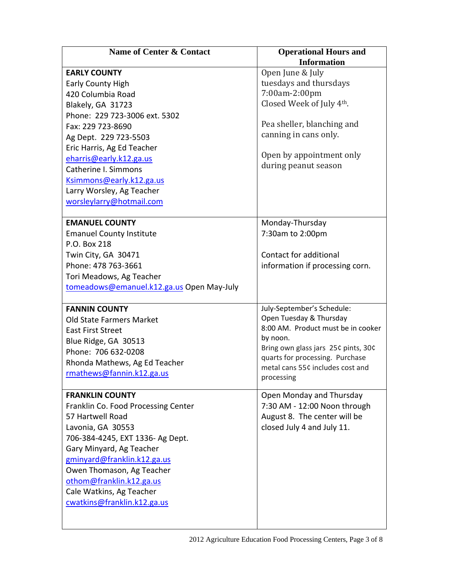| Name of Center & Contact                  | <b>Operational Hours and</b><br><b>Information</b> |
|-------------------------------------------|----------------------------------------------------|
| <b>EARLY COUNTY</b>                       | Open June & July                                   |
| <b>Early County High</b>                  | tuesdays and thursdays                             |
| 420 Columbia Road                         | 7:00am-2:00pm                                      |
| Blakely, GA 31723                         | Closed Week of July 4th.                           |
| Phone: 229 723-3006 ext. 5302             |                                                    |
| Fax: 229 723-8690                         | Pea sheller, blanching and                         |
| Ag Dept. 229 723-5503                     | canning in cans only.                              |
| Eric Harris, Ag Ed Teacher                |                                                    |
| eharris@early.k12.ga.us                   | Open by appointment only                           |
| Catherine I. Simmons                      | during peanut season                               |
| Ksimmons@early.k12.ga.us                  |                                                    |
| Larry Worsley, Ag Teacher                 |                                                    |
| worsleylarry@hotmail.com                  |                                                    |
|                                           |                                                    |
| <b>EMANUEL COUNTY</b>                     | Monday-Thursday                                    |
| <b>Emanuel County Institute</b>           | 7:30am to 2:00pm                                   |
| P.O. Box 218                              |                                                    |
| Twin City, GA 30471                       | Contact for additional                             |
| Phone: 478 763-3661                       | information if processing corn.                    |
| Tori Meadows, Ag Teacher                  |                                                    |
| tomeadows@emanuel.k12.ga.us Open May-July |                                                    |
| <b>FANNIN COUNTY</b>                      | July-September's Schedule:                         |
| Old State Farmers Market                  | Open Tuesday & Thursday                            |
| <b>East First Street</b>                  | 8:00 AM. Product must be in cooker                 |
| Blue Ridge, GA 30513                      | by noon.                                           |
| Phone: 706 632-0208                       | Bring own glass jars 25¢ pints, 30¢                |
| Rhonda Mathews, Ag Ed Teacher             | quarts for processing. Purchase                    |
| rmathews@fannin.k12.ga.us                 | metal cans 55¢ includes cost and                   |
|                                           | processing                                         |
| <b>FRANKLIN COUNTY</b>                    | Open Monday and Thursday                           |
| Franklin Co. Food Processing Center       | 7:30 AM - 12:00 Noon through                       |
| 57 Hartwell Road                          | August 8. The center will be                       |
| Lavonia, GA 30553                         | closed July 4 and July 11.                         |
| 706-384-4245, EXT 1336- Ag Dept.          |                                                    |
| Gary Minyard, Ag Teacher                  |                                                    |
| gminyard@franklin.k12.ga.us               |                                                    |
| Owen Thomason, Ag Teacher                 |                                                    |
| othom@franklin.k12.ga.us                  |                                                    |
| Cale Watkins, Ag Teacher                  |                                                    |
| cwatkins@franklin.k12.ga.us               |                                                    |
|                                           |                                                    |
|                                           |                                                    |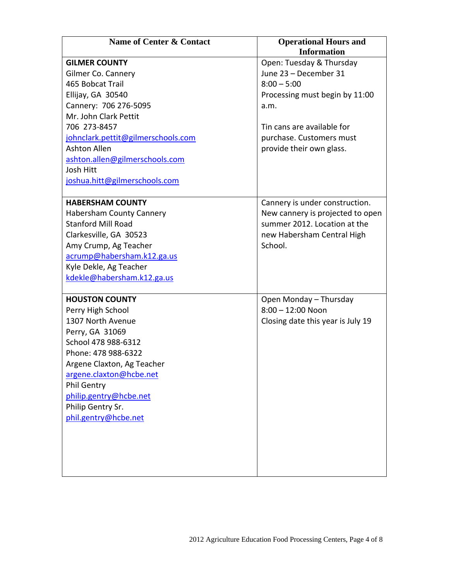| Name of Center & Contact           | <b>Operational Hours and</b><br><b>Information</b> |
|------------------------------------|----------------------------------------------------|
| <b>GILMER COUNTY</b>               | Open: Tuesday & Thursday                           |
| Gilmer Co. Cannery                 | June 23 - December 31                              |
| 465 Bobcat Trail                   | $8:00 - 5:00$                                      |
| Ellijay, GA 30540                  | Processing must begin by 11:00                     |
| Cannery: 706 276-5095              | a.m.                                               |
| Mr. John Clark Pettit              |                                                    |
| 706 273-8457                       | Tin cans are available for                         |
| johnclark.pettit@gilmerschools.com | purchase. Customers must                           |
| <b>Ashton Allen</b>                | provide their own glass.                           |
| ashton.allen@gilmerschools.com     |                                                    |
| Josh Hitt                          |                                                    |
| joshua.hitt@gilmerschools.com      |                                                    |
| <b>HABERSHAM COUNTY</b>            | Cannery is under construction.                     |
| <b>Habersham County Cannery</b>    | New cannery is projected to open                   |
| <b>Stanford Mill Road</b>          | summer 2012. Location at the                       |
| Clarkesville, GA 30523             | new Habersham Central High                         |
| Amy Crump, Ag Teacher              | School.                                            |
| acrump@habersham.k12.ga.us         |                                                    |
| Kyle Dekle, Ag Teacher             |                                                    |
| kdekle@habersham.k12.ga.us         |                                                    |
| <b>HOUSTON COUNTY</b>              | Open Monday - Thursday                             |
| Perry High School                  | $8:00 - 12:00$ Noon                                |
| 1307 North Avenue                  | Closing date this year is July 19                  |
| Perry, GA 31069                    |                                                    |
| School 478 988-6312                |                                                    |
| Phone: 478 988-6322                |                                                    |
| Argene Claxton, Ag Teacher         |                                                    |
| argene.claxton@hcbe.net            |                                                    |
| Phil Gentry                        |                                                    |
| philip.gentry@hcbe.net             |                                                    |
| Philip Gentry Sr.                  |                                                    |
| phil.gentry@hcbe.net               |                                                    |
|                                    |                                                    |
|                                    |                                                    |
|                                    |                                                    |
|                                    |                                                    |
|                                    |                                                    |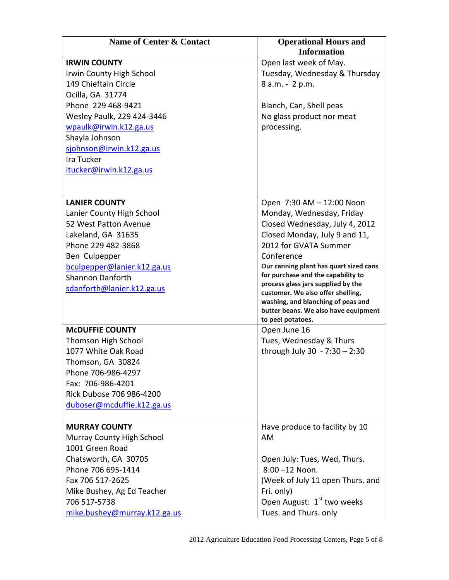| Name of Center & Contact     | <b>Operational Hours and</b>                                                 |
|------------------------------|------------------------------------------------------------------------------|
|                              | <b>Information</b>                                                           |
| <b>IRWIN COUNTY</b>          | Open last week of May.                                                       |
| Irwin County High School     | Tuesday, Wednesday & Thursday                                                |
| 149 Chieftain Circle         | 8 a.m. - 2 p.m.                                                              |
| Ocilla, GA 31774             |                                                                              |
| Phone 229 468-9421           | Blanch, Can, Shell peas                                                      |
| Wesley Paulk, 229 424-3446   | No glass product nor meat                                                    |
| wpaulk@irwin.k12.ga.us       | processing.                                                                  |
| Shayla Johnson               |                                                                              |
| sjohnson@irwin.k12.ga.us     |                                                                              |
| Ira Tucker                   |                                                                              |
| itucker@irwin.k12.ga.us      |                                                                              |
|                              |                                                                              |
|                              |                                                                              |
| <b>LANIER COUNTY</b>         | Open 7:30 AM - 12:00 Noon                                                    |
| Lanier County High School    | Monday, Wednesday, Friday                                                    |
| 52 West Patton Avenue        | Closed Wednesday, July 4, 2012                                               |
| Lakeland, GA 31635           | Closed Monday, July 9 and 11,                                                |
| Phone 229 482-3868           | 2012 for GVATA Summer                                                        |
| Ben Culpepper                | Conference                                                                   |
| bculpepper@lanier.k12.ga.us  | Our canning plant has quart sized cans<br>for purchase and the capability to |
| <b>Shannon Danforth</b>      | process glass jars supplied by the                                           |
| sdanforth@lanier.k12.ga.us   | customer. We also offer shelling,                                            |
|                              | washing, and blanching of peas and                                           |
|                              | butter beans. We also have equipment<br>to peel potatoes.                    |
| <b>MCDUFFIE COUNTY</b>       | Open June 16                                                                 |
| Thomson High School          | Tues, Wednesday & Thurs                                                      |
| 1077 White Oak Road          | through July 30 - 7:30 - 2:30                                                |
| Thomson, GA 30824            |                                                                              |
| Phone 706-986-4297           |                                                                              |
| Fax: 706-986-4201            |                                                                              |
| Rick Dubose 706 986-4200     |                                                                              |
| duboser@mcduffie.k12.ga.us   |                                                                              |
|                              |                                                                              |
| <b>MURRAY COUNTY</b>         | Have produce to facility by 10                                               |
| Murray County High School    | AM                                                                           |
| 1001 Green Road              |                                                                              |
| Chatsworth, GA 30705         | Open July: Tues, Wed, Thurs.                                                 |
| Phone 706 695-1414           | 8:00-12 Noon.                                                                |
| Fax 706 517-2625             | (Week of July 11 open Thurs. and                                             |
| Mike Bushey, Ag Ed Teacher   | Fri. only)                                                                   |
| 706 517-5738                 | Open August: 1 <sup>st</sup> two weeks                                       |
| mike.bushey@murray.k12.ga.us | Tues. and Thurs. only                                                        |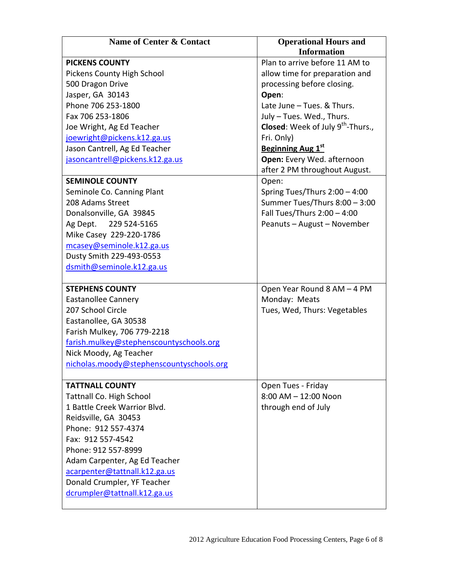| Name of Center & Contact                 | <b>Operational Hours and</b>                         |
|------------------------------------------|------------------------------------------------------|
|                                          | <b>Information</b>                                   |
| <b>PICKENS COUNTY</b>                    | Plan to arrive before 11 AM to                       |
| Pickens County High School               | allow time for preparation and                       |
| 500 Dragon Drive                         | processing before closing.                           |
| Jasper, GA 30143                         | Open:                                                |
| Phone 706 253-1800                       | Late June - Tues. & Thurs.                           |
| Fax 706 253-1806                         | July - Tues. Wed., Thurs.                            |
| Joe Wright, Ag Ed Teacher                | <b>Closed:</b> Week of July 9 <sup>th</sup> -Thurs., |
| joewright@pickens.k12.ga.us              | Fri. Only)                                           |
| Jason Cantrell, Ag Ed Teacher            | <b>Beginning Aug 1st</b>                             |
| jasoncantrell@pickens.k12.ga.us          | Open: Every Wed. afternoon                           |
|                                          | after 2 PM throughout August.                        |
| <b>SEMINOLE COUNTY</b>                   | Open:                                                |
| Seminole Co. Canning Plant               | Spring Tues/Thurs 2:00 - 4:00                        |
| 208 Adams Street                         | Summer Tues/Thurs 8:00 - 3:00                        |
| Donalsonville, GA 39845                  | Fall Tues/Thurs 2:00 - 4:00                          |
| Ag Dept. 229 524-5165                    | Peanuts - August - November                          |
| Mike Casey 229-220-1786                  |                                                      |
| mcasey@seminole.k12.ga.us                |                                                      |
| Dusty Smith 229-493-0553                 |                                                      |
| dsmith@seminole.k12.ga.us                |                                                      |
|                                          |                                                      |
| <b>STEPHENS COUNTY</b>                   | Open Year Round 8 AM - 4 PM                          |
| <b>Eastanollee Cannery</b>               | Monday: Meats                                        |
| 207 School Circle                        | Tues, Wed, Thurs: Vegetables                         |
| Eastanollee, GA 30538                    |                                                      |
| Farish Mulkey, 706 779-2218              |                                                      |
| farish.mulkey@stephenscountyschools.org  |                                                      |
| Nick Moody, Ag Teacher                   |                                                      |
| nicholas.moody@stephenscountyschools.org |                                                      |
|                                          |                                                      |
| <b>TATTNALL COUNTY</b>                   | Open Tues - Friday                                   |
| <b>Tattnall Co. High School</b>          | 8:00 AM - 12:00 Noon                                 |
| 1 Battle Creek Warrior Blvd.             | through end of July                                  |
| Reidsville, GA 30453                     |                                                      |
| Phone: 912 557-4374                      |                                                      |
| Fax: 912 557-4542                        |                                                      |
| Phone: 912 557-8999                      |                                                      |
| Adam Carpenter, Ag Ed Teacher            |                                                      |
| acarpenter@tattnall.k12.ga.us            |                                                      |
| Donald Crumpler, YF Teacher              |                                                      |
| dcrumpler@tattnall.k12.ga.us             |                                                      |
|                                          |                                                      |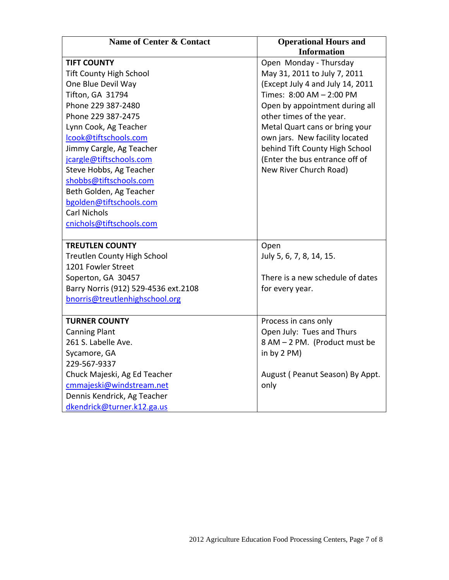| <b>Name of Center &amp; Contact</b>  | <b>Operational Hours and</b>     |
|--------------------------------------|----------------------------------|
|                                      | <b>Information</b>               |
| <b>TIFT COUNTY</b>                   | Open Monday - Thursday           |
| <b>Tift County High School</b>       | May 31, 2011 to July 7, 2011     |
| One Blue Devil Way                   | (Except July 4 and July 14, 2011 |
| Tifton, GA 31794                     | Times: 8:00 AM - 2:00 PM         |
| Phone 229 387-2480                   | Open by appointment during all   |
| Phone 229 387-2475                   | other times of the year.         |
| Lynn Cook, Ag Teacher                | Metal Quart cans or bring your   |
| lcook@tiftschools.com                | own jars. New facility located   |
| Jimmy Cargle, Ag Teacher             | behind Tift County High School   |
| jcargle@tiftschools.com              | (Enter the bus entrance off of   |
| Steve Hobbs, Ag Teacher              | New River Church Road)           |
| shobbs@tiftschools.com               |                                  |
| Beth Golden, Ag Teacher              |                                  |
| bgolden@tiftschools.com              |                                  |
| <b>Carl Nichols</b>                  |                                  |
| cnichols@tiftschools.com             |                                  |
|                                      |                                  |
| <b>TREUTLEN COUNTY</b>               | Open                             |
| <b>Treutlen County High School</b>   | July 5, 6, 7, 8, 14, 15.         |
| 1201 Fowler Street                   |                                  |
| Soperton, GA 30457                   | There is a new schedule of dates |
| Barry Norris (912) 529-4536 ext.2108 | for every year.                  |
| bnorris@treutlenhighschool.org       |                                  |
|                                      |                                  |
| <b>TURNER COUNTY</b>                 | Process in cans only             |
| <b>Canning Plant</b>                 | Open July: Tues and Thurs        |
| 261 S. Labelle Ave.                  | 8 AM - 2 PM. (Product must be    |
| Sycamore, GA                         | in by 2 PM)                      |
| 229-567-9337                         |                                  |
| Chuck Majeski, Ag Ed Teacher         | August (Peanut Season) By Appt.  |
| cmmajeski@windstream.net             | only                             |
| Dennis Kendrick, Ag Teacher          |                                  |
| dkendrick@turner.k12.ga.us           |                                  |